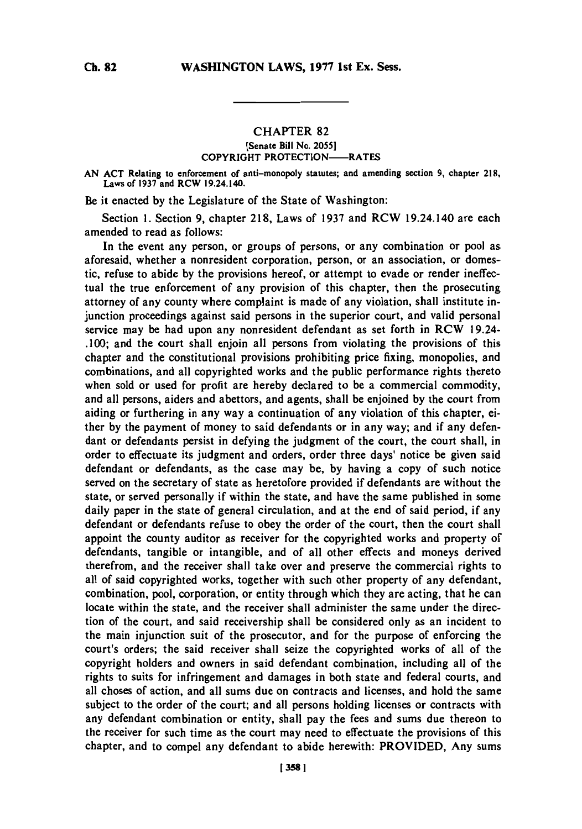## **CHAPTER 82**

## **[Senate Bill No. 2055] COPYRIGHT PROTECTION-RATES**

**AN ACT Relating to enforcement of anti-monopoly statutes; and amending section 9, chapter 218, Laws of 1937 and RCW 19.24.140.**

Be it enacted **by** the Legislature of the State of Washington:

Section **1.** Section **9,** chapter **218,** Laws of **1937** and RCW 19.24.140 are each amended to read as follows:

In the event any person, or groups of persons, or any combination or pool as aforesaid, whether a nonresident corporation, person, or an association, or domestic, refuse to abide **by** the provisions hereof, or attempt to evade or render ineffectual the true enforcement of any provision of this chapter, then the prosecuting attorney of any county where complaint is made of any violation, shall institute injunction proceedings against said persons in the superior court, and valid personal service may be had upon any nonresident defendant as set forth in RCW 19.24- **.100;** and the court shall enjoin all persons from violating the provisions of this chapter and the constitutional provisions prohibiting price fixing, monopolies, and combinations, and all copyrighted works and the public performance rights thereto when sold or used for profit are hereby declared to be a commercial commodity, and all persons, aiders and abettors, and agents, shall be enjoined **by** the court from aiding or furthering in any way a continuation of any violation of this chapter, either **by** the payment of money to said defendants or in any way; and if any defendant or defendants persist in defying the judgment of the court, the court shall, in order to effectuate its judgment and orders, order three days' notice be given said defendant or defendants, as the case may be, **by** having a copy of such notice served on the secretary of state as heretofore provided if defendants are without the state, or served personally if within the state, and have the same published in some daily paper in the state of general circulation, and at the end of said period, if any defendant or defendants refuse to obey the order of the court, then the court shall appoint the county auditor as receiver for the copyrighted works and property of defendants, tangible or intangible, and of all other effects and moneys derived therefrom, and the receiver shall take over and preserve the commercial rights to all of said copyrighted works, together with such other property of any defendant, combination, pool, corporation, or entity through which they are acting, that he can locate within the state, and the receiver shall administer the same under the direction of the court, and said receivership shall be considered only as an incident to the main injunction suit of the prosecutor, and for the purpose of enforcing the court's orders; the said receiver shall seize the copyrighted works of all of the copyright holders and owners in said defendant combination, including all of the rights to suits for infringement and damages in both state and federal courts, and all choses of action, and all sums due on contracts and licenses, and hold the same subject to the order of the court; and all persons holding licenses or contracts with any defendant combination or entity, shall pay the fees and sums due thereon to the receiver for such time as the court may need to effectuate the provisions of this chapter, and to compel any defendant to abide herewith: PROVIDED, Any sums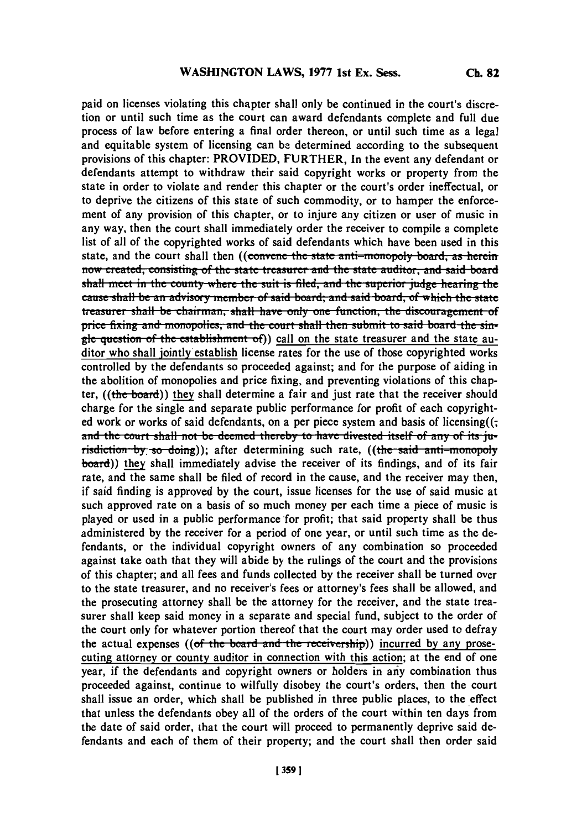paid on licenses violating this chapter shall only be continued in the court's discretion or until such time as the court can award defendants complete and full due process of law before entering a final order thereon, or until such time as a legal and equitable system of licensing can be determined according to the subsequent provisions of this chapter: PROVIDED, FURTHER, In the event any defendant or defendants attempt to withdraw their said copyright works or property from the state in order to violate and render this chapter or the court's order ineffectual, or to deprive the citizens of this state of such commodity, or to hamper the enforcement of any provision of this chapter, or to injure any citizen or user of music in any way, then the court shall immediately order the receiver to compile a complete list of all of the copyrighted works of said defendants which have been used in this state, and the court shall then ((convene the state anti-monopoly board, as herein now created, consisting of the state treasurer and the state auditor, and said board shall meet in the county where the suit is filed, and the superior judge hearing the cause shall be an advisory member of said board; and said board, of which the state **Latisfully 1 assure that in the chairman, shall have only one function, the discouragement of** price fixing and monopolies, and the court shall then submit to said board the single question of the establishment of)) call on the state treasurer and the state auditor who shall jointly establish license rates for the use of those copyrighted works controlled **by** the defendants so proceeded against; and for the purpose of aiding in the abolition of monopolies and price fixing, and preventing violations of this chapter,  $((the board))$  they shall determine a fair and just rate that the receiver should charge for the single and separate public performance for profit of each copyrighted work or works of said defendants, on a per piece system and basis of licensing( $\zeta$ ) **anxd** the,. **..,uut** shall **nout be deemexd the1 ., e, to have.** diese itself **of anzy of its ju** risdiction by so doing)); after determining such rate, ((the said anti-monopoly board)) they shall immediately advise the receiver of its findings, and of its fair rate, and the same shall be filed of record in the cause, and the receiver may then, if said finding is approved **by** the court, issue licenses for the use of said music at such approved rate on a basis of so much money per each time a piece of music is played or used in a public performance for profit; that said property shall be thus administered **by** the receiver for a period of one year, or until such time as the defendants, or the individual copyright owners of any combination so proceeded against take oath that they will abide **by** the rulings of the court and the provisions of this chapter; and all fees and funds collected **by** the receiver shall be turned over to the state treasurer, and no receiver's fees or attorney's fees shall be allowed, and the prosecuting attorney shall be the attorney for the receiver, and the state treasurer shall keep said money in a separate and special fund, subject to the order of the court only for whatever portion thereof that the court may order used to defray the actual expenses ((of the board and the receivership)) incurred by any prosecuting attorney or county auditor in connection with this action; at the end of one year, if the defendants and copyright owners or holders in any combination thus proceeded against, continue to wilfully disobey the court's orders, then the court shall issue an order, which shall be published in three public places, to the effect that unless the defendants obey all of the orders of the court within ten days from the date of said order, that the court will proceed to permanently deprive said defendants and each of them of their property; and the court shall then order said